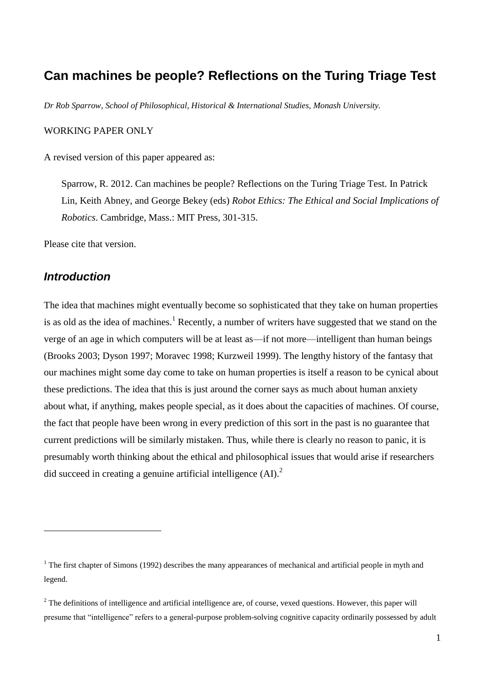# **Can machines be people? Reflections on the Turing Triage Test**

*Dr Rob Sparrow, School of Philosophical, Historical & International Studies, Monash University.*

### WORKING PAPER ONLY

A revised version of this paper appeared as:

Sparrow, R. 2012. Can machines be people? Reflections on the Turing Triage Test. In Patrick Lin, Keith Abney, and George Bekey (eds) *Robot Ethics: The Ethical and Social Implications of Robotics*. Cambridge, Mass.: MIT Press, 301-315.

Please cite that version.

### *Introduction*

<u>.</u>

The idea that machines might eventually become so sophisticated that they take on human properties is as old as the idea of machines.<sup>1</sup> Recently, a number of writers have suggested that we stand on the verge of an age in which computers will be at least as—if not more—intelligent than human beings (Brooks 2003; Dyson 1997; Moravec 1998; Kurzweil 1999). The lengthy history of the fantasy that our machines might some day come to take on human properties is itself a reason to be cynical about these predictions. The idea that this is just around the corner says as much about human anxiety about what, if anything, makes people special, as it does about the capacities of machines. Of course, the fact that people have been wrong in every prediction of this sort in the past is no guarantee that current predictions will be similarly mistaken. Thus, while there is clearly no reason to panic, it is presumably worth thinking about the ethical and philosophical issues that would arise if researchers did succeed in creating a genuine artificial intelligence (AI).<sup>2</sup>

 $1$  The first chapter of Simons (1992) describes the many appearances of mechanical and artificial people in myth and legend.

 $<sup>2</sup>$  The definitions of intelligence and artificial intelligence are, of course, vexed questions. However, this paper will</sup> presume that "intelligence" refers to a general-purpose problem-solving cognitive capacity ordinarily possessed by adult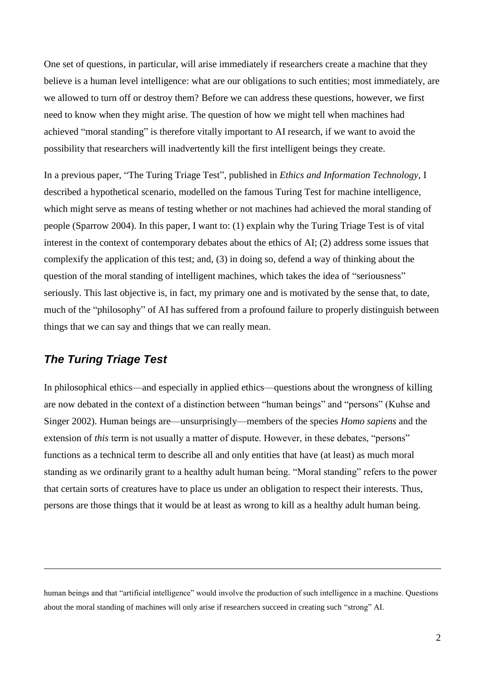One set of questions, in particular, will arise immediately if researchers create a machine that they believe is a human level intelligence: what are our obligations to such entities; most immediately, are we allowed to turn off or destroy them? Before we can address these questions, however, we first need to know when they might arise. The question of how we might tell when machines had achieved "moral standing" is therefore vitally important to AI research, if we want to avoid the possibility that researchers will inadvertently kill the first intelligent beings they create.

In a previous paper, "The Turing Triage Test", published in *Ethics and Information Technology*, I described a hypothetical scenario, modelled on the famous Turing Test for machine intelligence, which might serve as means of testing whether or not machines had achieved the moral standing of people (Sparrow 2004). In this paper, I want to: (1) explain why the Turing Triage Test is of vital interest in the context of contemporary debates about the ethics of AI; (2) address some issues that complexify the application of this test; and, (3) in doing so, defend a way of thinking about the question of the moral standing of intelligent machines, which takes the idea of "seriousness" seriously. This last objective is, in fact, my primary one and is motivated by the sense that, to date, much of the "philosophy" of AI has suffered from a profound failure to properly distinguish between things that we can say and things that we can really mean.

## *The Turing Triage Test*

1

In philosophical ethics—and especially in applied ethics—questions about the wrongness of killing are now debated in the context of a distinction between "human beings" and "persons" (Kuhse and Singer 2002). Human beings are—unsurprisingly—members of the species *Homo sapiens* and the extension of *this* term is not usually a matter of dispute. However, in these debates, "persons" functions as a technical term to describe all and only entities that have (at least) as much moral standing as we ordinarily grant to a healthy adult human being. "Moral standing" refers to the power that certain sorts of creatures have to place us under an obligation to respect their interests. Thus, persons are those things that it would be at least as wrong to kill as a healthy adult human being.

human beings and that "artificial intelligence" would involve the production of such intelligence in a machine. Questions about the moral standing of machines will only arise if researchers succeed in creating such "strong" AI.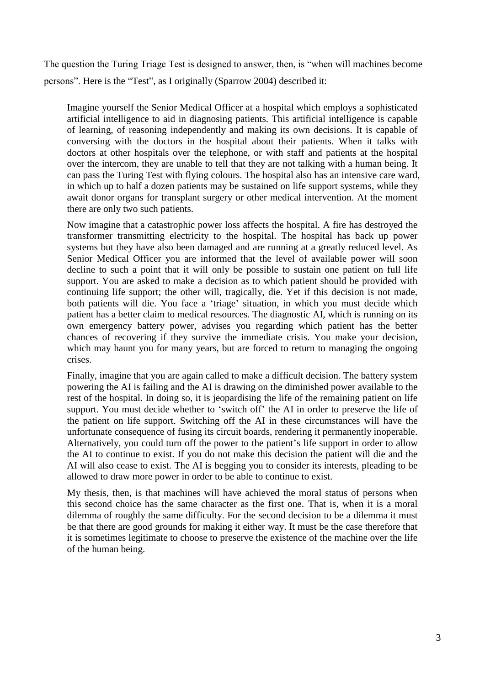The question the Turing Triage Test is designed to answer, then, is "when will machines become persons". Here is the "Test", as I originally (Sparrow 2004) described it:

Imagine yourself the Senior Medical Officer at a hospital which employs a sophisticated artificial intelligence to aid in diagnosing patients. This artificial intelligence is capable of learning, of reasoning independently and making its own decisions. It is capable of conversing with the doctors in the hospital about their patients. When it talks with doctors at other hospitals over the telephone, or with staff and patients at the hospital over the intercom, they are unable to tell that they are not talking with a human being. It can pass the Turing Test with flying colours. The hospital also has an intensive care ward, in which up to half a dozen patients may be sustained on life support systems, while they await donor organs for transplant surgery or other medical intervention. At the moment there are only two such patients.

Now imagine that a catastrophic power loss affects the hospital. A fire has destroyed the transformer transmitting electricity to the hospital. The hospital has back up power systems but they have also been damaged and are running at a greatly reduced level. As Senior Medical Officer you are informed that the level of available power will soon decline to such a point that it will only be possible to sustain one patient on full life support. You are asked to make a decision as to which patient should be provided with continuing life support; the other will, tragically, die. Yet if this decision is not made, both patients will die. You face a 'triage' situation, in which you must decide which patient has a better claim to medical resources. The diagnostic AI, which is running on its own emergency battery power, advises you regarding which patient has the better chances of recovering if they survive the immediate crisis. You make your decision, which may haunt you for many years, but are forced to return to managing the ongoing crises.

Finally, imagine that you are again called to make a difficult decision. The battery system powering the AI is failing and the AI is drawing on the diminished power available to the rest of the hospital. In doing so, it is jeopardising the life of the remaining patient on life support. You must decide whether to 'switch off' the AI in order to preserve the life of the patient on life support. Switching off the AI in these circumstances will have the unfortunate consequence of fusing its circuit boards, rendering it permanently inoperable. Alternatively, you could turn off the power to the patient's life support in order to allow the AI to continue to exist. If you do not make this decision the patient will die and the AI will also cease to exist. The AI is begging you to consider its interests, pleading to be allowed to draw more power in order to be able to continue to exist.

My thesis, then, is that machines will have achieved the moral status of persons when this second choice has the same character as the first one. That is, when it is a moral dilemma of roughly the same difficulty. For the second decision to be a dilemma it must be that there are good grounds for making it either way. It must be the case therefore that it is sometimes legitimate to choose to preserve the existence of the machine over the life of the human being.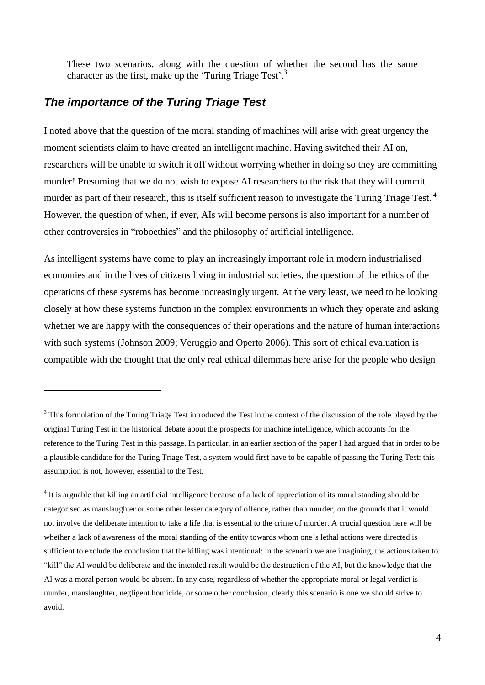These two scenarios, along with the question of whether the second has the same character as the first, make up the 'Turing Triage Test'.<sup>3</sup>

### *The importance of the Turing Triage Test*

<u>.</u>

I noted above that the question of the moral standing of machines will arise with great urgency the moment scientists claim to have created an intelligent machine. Having switched their AI on, researchers will be unable to switch it off without worrying whether in doing so they are committing murder! Presuming that we do not wish to expose AI researchers to the risk that they will commit murder as part of their research, this is itself sufficient reason to investigate the Turing Triage Test.<sup>4</sup> However, the question of when, if ever, AIs will become persons is also important for a number of other controversies in "roboethics" and the philosophy of artificial intelligence.

As intelligent systems have come to play an increasingly important role in modern industrialised economies and in the lives of citizens living in industrial societies, the question of the ethics of the operations of these systems has become increasingly urgent. At the very least, we need to be looking closely at how these systems function in the complex environments in which they operate and asking whether we are happy with the consequences of their operations and the nature of human interactions with such systems (Johnson 2009; Veruggio and Operto 2006). This sort of ethical evaluation is compatible with the thought that the only real ethical dilemmas here arise for the people who design

<sup>&</sup>lt;sup>3</sup> This formulation of the Turing Triage Test introduced the Test in the context of the discussion of the role played by the original Turing Test in the historical debate about the prospects for machine intelligence, which accounts for the reference to the Turing Test in this passage. In particular, in an earlier section of the paper I had argued that in order to be a plausible candidate for the Turing Triage Test, a system would first have to be capable of passing the Turing Test: this assumption is not, however, essential to the Test.

<sup>&</sup>lt;sup>4</sup> It is arguable that killing an artificial intelligence because of a lack of appreciation of its moral standing should be categorised as manslaughter or some other lesser category of offence, rather than murder, on the grounds that it would not involve the deliberate intention to take a life that is essential to the crime of murder. A crucial question here will be whether a lack of awareness of the moral standing of the entity towards whom one's lethal actions were directed is sufficient to exclude the conclusion that the killing was intentional: in the scenario we are imagining, the actions taken to "kill" the AI would be deliberate and the intended result would be the destruction of the AI, but the knowledge that the AI was a moral person would be absent. In any case, regardless of whether the appropriate moral or legal verdict is murder, manslaughter, negligent homicide, or some other conclusion, clearly this scenario is one we should strive to avoid.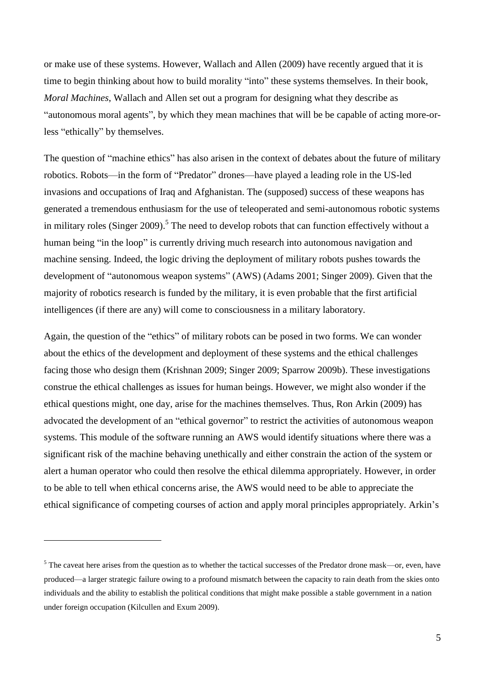or make use of these systems. However, Wallach and Allen (2009) have recently argued that it is time to begin thinking about how to build morality "into" these systems themselves. In their book, *Moral Machines*, Wallach and Allen set out a program for designing what they describe as "autonomous moral agents", by which they mean machines that will be be capable of acting more-orless "ethically" by themselves.

The question of "machine ethics" has also arisen in the context of debates about the future of military robotics. Robots—in the form of "Predator" drones—have played a leading role in the US-led invasions and occupations of Iraq and Afghanistan. The (supposed) success of these weapons has generated a tremendous enthusiasm for the use of teleoperated and semi-autonomous robotic systems in military roles (Singer 2009).<sup>5</sup> The need to develop robots that can function effectively without a human being "in the loop" is currently driving much research into autonomous navigation and machine sensing. Indeed, the logic driving the deployment of military robots pushes towards the development of "autonomous weapon systems" (AWS) (Adams 2001; Singer 2009). Given that the majority of robotics research is funded by the military, it is even probable that the first artificial intelligences (if there are any) will come to consciousness in a military laboratory.

Again, the question of the "ethics" of military robots can be posed in two forms. We can wonder about the ethics of the development and deployment of these systems and the ethical challenges facing those who design them (Krishnan 2009; Singer 2009; Sparrow 2009b). These investigations construe the ethical challenges as issues for human beings. However, we might also wonder if the ethical questions might, one day, arise for the machines themselves. Thus, Ron Arkin (2009) has advocated the development of an "ethical governor" to restrict the activities of autonomous weapon systems. This module of the software running an AWS would identify situations where there was a significant risk of the machine behaving unethically and either constrain the action of the system or alert a human operator who could then resolve the ethical dilemma appropriately. However, in order to be able to tell when ethical concerns arise, the AWS would need to be able to appreciate the ethical significance of competing courses of action and apply moral principles appropriately. Arkin's

<u>.</u>

<sup>&</sup>lt;sup>5</sup> The caveat here arises from the question as to whether the tactical successes of the Predator drone mask—or, even, have produced—a larger strategic failure owing to a profound mismatch between the capacity to rain death from the skies onto individuals and the ability to establish the political conditions that might make possible a stable government in a nation under foreign occupation (Kilcullen and Exum 2009).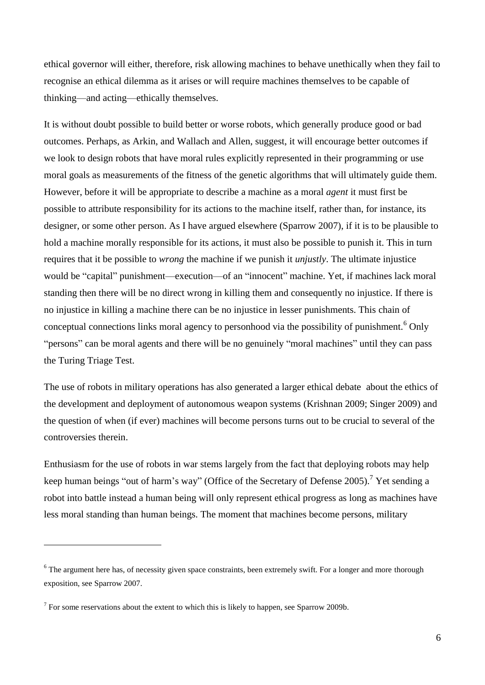ethical governor will either, therefore, risk allowing machines to behave unethically when they fail to recognise an ethical dilemma as it arises or will require machines themselves to be capable of thinking—and acting—ethically themselves.

It is without doubt possible to build better or worse robots, which generally produce good or bad outcomes. Perhaps, as Arkin, and Wallach and Allen, suggest, it will encourage better outcomes if we look to design robots that have moral rules explicitly represented in their programming or use moral goals as measurements of the fitness of the genetic algorithms that will ultimately guide them. However, before it will be appropriate to describe a machine as a moral *agent* it must first be possible to attribute responsibility for its actions to the machine itself, rather than, for instance, its designer, or some other person. As I have argued elsewhere (Sparrow 2007), if it is to be plausible to hold a machine morally responsible for its actions, it must also be possible to punish it. This in turn requires that it be possible to *wrong* the machine if we punish it *unjustly*. The ultimate injustice would be "capital" punishment—execution—of an "innocent" machine. Yet, if machines lack moral standing then there will be no direct wrong in killing them and consequently no injustice. If there is no injustice in killing a machine there can be no injustice in lesser punishments. This chain of conceptual connections links moral agency to personhood via the possibility of punishment.<sup>6</sup> Only "persons" can be moral agents and there will be no genuinely "moral machines" until they can pass the Turing Triage Test.

The use of robots in military operations has also generated a larger ethical debate about the ethics of the development and deployment of autonomous weapon systems (Krishnan 2009; Singer 2009) and the question of when (if ever) machines will become persons turns out to be crucial to several of the controversies therein.

Enthusiasm for the use of robots in war stems largely from the fact that deploying robots may help keep human beings "out of harm's way" (Office of the Secretary of Defense 2005).<sup>7</sup> Yet sending a robot into battle instead a human being will only represent ethical progress as long as machines have less moral standing than human beings. The moment that machines become persons, military

<u>.</u>

<sup>&</sup>lt;sup>6</sup> The argument here has, of necessity given space constraints, been extremely swift. For a longer and more thorough exposition, see Sparrow 2007.

 $<sup>7</sup>$  For some reservations about the extent to which this is likely to happen, see Sparrow 2009b.</sup>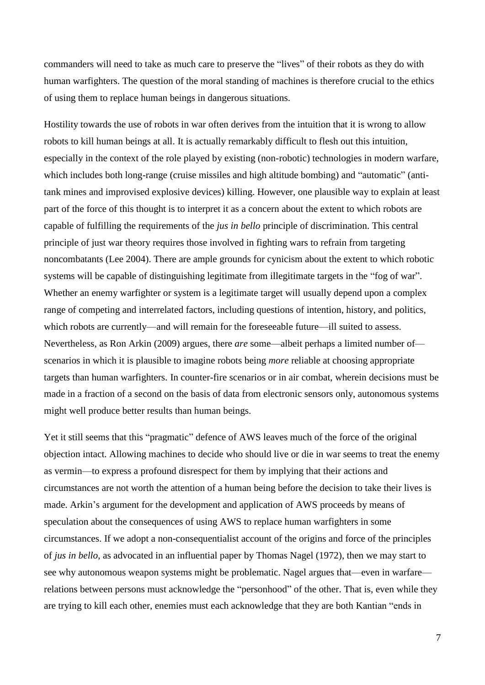commanders will need to take as much care to preserve the "lives" of their robots as they do with human warfighters. The question of the moral standing of machines is therefore crucial to the ethics of using them to replace human beings in dangerous situations.

Hostility towards the use of robots in war often derives from the intuition that it is wrong to allow robots to kill human beings at all. It is actually remarkably difficult to flesh out this intuition, especially in the context of the role played by existing (non-robotic) technologies in modern warfare, which includes both long-range (cruise missiles and high altitude bombing) and "automatic" (antitank mines and improvised explosive devices) killing. However, one plausible way to explain at least part of the force of this thought is to interpret it as a concern about the extent to which robots are capable of fulfilling the requirements of the *jus in bello* principle of discrimination. This central principle of just war theory requires those involved in fighting wars to refrain from targeting noncombatants (Lee 2004). There are ample grounds for cynicism about the extent to which robotic systems will be capable of distinguishing legitimate from illegitimate targets in the "fog of war". Whether an enemy warfighter or system is a legitimate target will usually depend upon a complex range of competing and interrelated factors, including questions of intention, history, and politics, which robots are currently—and will remain for the foreseeable future—ill suited to assess. Nevertheless, as Ron Arkin (2009) argues, there *are* some—albeit perhaps a limited number of scenarios in which it is plausible to imagine robots being *more* reliable at choosing appropriate targets than human warfighters. In counter-fire scenarios or in air combat, wherein decisions must be made in a fraction of a second on the basis of data from electronic sensors only, autonomous systems might well produce better results than human beings.

Yet it still seems that this "pragmatic" defence of AWS leaves much of the force of the original objection intact. Allowing machines to decide who should live or die in war seems to treat the enemy as vermin—to express a profound disrespect for them by implying that their actions and circumstances are not worth the attention of a human being before the decision to take their lives is made. Arkin's argument for the development and application of AWS proceeds by means of speculation about the consequences of using AWS to replace human warfighters in some circumstances. If we adopt a non-consequentialist account of the origins and force of the principles of *jus in bello*, as advocated in an influential paper by Thomas Nagel (1972), then we may start to see why autonomous weapon systems might be problematic. Nagel argues that—even in warfare relations between persons must acknowledge the "personhood" of the other. That is, even while they are trying to kill each other, enemies must each acknowledge that they are both Kantian "ends in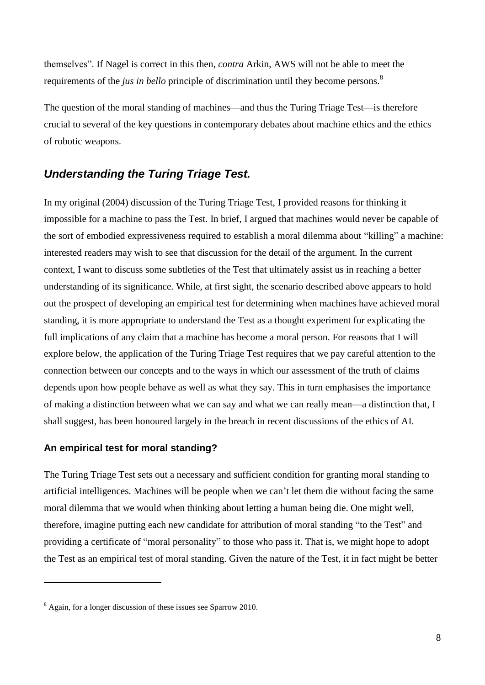themselves‖. If Nagel is correct in this then, *contra* Arkin, AWS will not be able to meet the requirements of the *jus in bello* principle of discrimination until they become persons. 8

The question of the moral standing of machines—and thus the Turing Triage Test—is therefore crucial to several of the key questions in contemporary debates about machine ethics and the ethics of robotic weapons.

### *Understanding the Turing Triage Test.*

In my original (2004) discussion of the Turing Triage Test, I provided reasons for thinking it impossible for a machine to pass the Test. In brief, I argued that machines would never be capable of the sort of embodied expressiveness required to establish a moral dilemma about "killing" a machine: interested readers may wish to see that discussion for the detail of the argument. In the current context, I want to discuss some subtleties of the Test that ultimately assist us in reaching a better understanding of its significance. While, at first sight, the scenario described above appears to hold out the prospect of developing an empirical test for determining when machines have achieved moral standing, it is more appropriate to understand the Test as a thought experiment for explicating the full implications of any claim that a machine has become a moral person. For reasons that I will explore below, the application of the Turing Triage Test requires that we pay careful attention to the connection between our concepts and to the ways in which our assessment of the truth of claims depends upon how people behave as well as what they say. This in turn emphasises the importance of making a distinction between what we can say and what we can really mean—a distinction that, I shall suggest, has been honoured largely in the breach in recent discussions of the ethics of AI.

#### **An empirical test for moral standing?**

The Turing Triage Test sets out a necessary and sufficient condition for granting moral standing to artificial intelligences. Machines will be people when we can't let them die without facing the same moral dilemma that we would when thinking about letting a human being die. One might well, therefore, imagine putting each new candidate for attribution of moral standing "to the Test" and providing a certificate of "moral personality" to those who pass it. That is, we might hope to adopt the Test as an empirical test of moral standing. Given the nature of the Test, it in fact might be better

1

<sup>8</sup> Again, for a longer discussion of these issues see Sparrow 2010.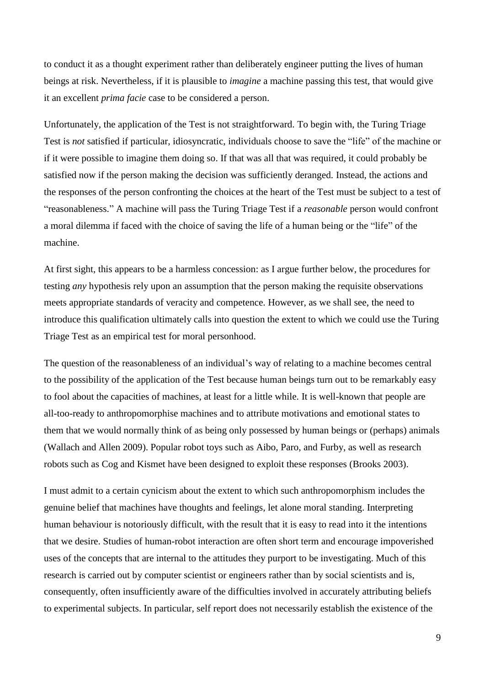to conduct it as a thought experiment rather than deliberately engineer putting the lives of human beings at risk. Nevertheless, if it is plausible to *imagine* a machine passing this test, that would give it an excellent *prima facie* case to be considered a person.

Unfortunately, the application of the Test is not straightforward. To begin with, the Turing Triage Test is *not* satisfied if particular, idiosyncratic, individuals choose to save the "life" of the machine or if it were possible to imagine them doing so. If that was all that was required, it could probably be satisfied now if the person making the decision was sufficiently deranged. Instead, the actions and the responses of the person confronting the choices at the heart of the Test must be subject to a test of ―reasonableness.‖ A machine will pass the Turing Triage Test if a *reasonable* person would confront a moral dilemma if faced with the choice of saving the life of a human being or the "life" of the machine.

At first sight, this appears to be a harmless concession: as I argue further below, the procedures for testing *any* hypothesis rely upon an assumption that the person making the requisite observations meets appropriate standards of veracity and competence. However, as we shall see, the need to introduce this qualification ultimately calls into question the extent to which we could use the Turing Triage Test as an empirical test for moral personhood.

The question of the reasonableness of an individual's way of relating to a machine becomes central to the possibility of the application of the Test because human beings turn out to be remarkably easy to fool about the capacities of machines, at least for a little while. It is well-known that people are all-too-ready to anthropomorphise machines and to attribute motivations and emotional states to them that we would normally think of as being only possessed by human beings or (perhaps) animals (Wallach and Allen 2009). Popular robot toys such as Aibo, Paro, and Furby, as well as research robots such as Cog and Kismet have been designed to exploit these responses (Brooks 2003).

I must admit to a certain cynicism about the extent to which such anthropomorphism includes the genuine belief that machines have thoughts and feelings, let alone moral standing. Interpreting human behaviour is notoriously difficult, with the result that it is easy to read into it the intentions that we desire. Studies of human-robot interaction are often short term and encourage impoverished uses of the concepts that are internal to the attitudes they purport to be investigating. Much of this research is carried out by computer scientist or engineers rather than by social scientists and is, consequently, often insufficiently aware of the difficulties involved in accurately attributing beliefs to experimental subjects. In particular, self report does not necessarily establish the existence of the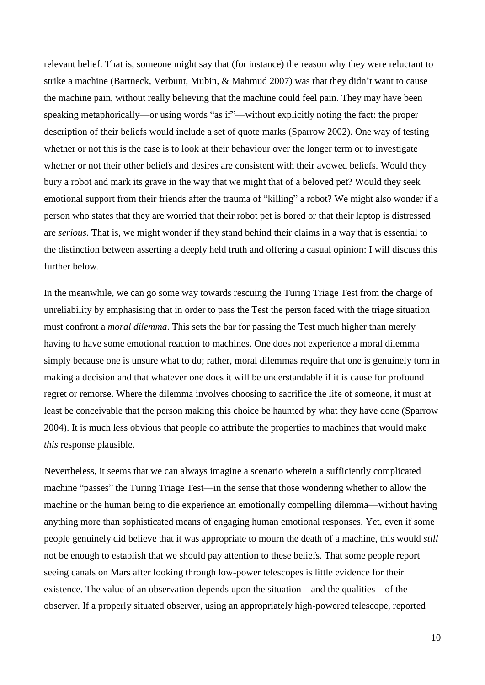relevant belief. That is, someone might say that (for instance) the reason why they were reluctant to strike a machine (Bartneck, Verbunt, Mubin, & Mahmud 2007) was that they didn't want to cause the machine pain, without really believing that the machine could feel pain. They may have been speaking metaphorically—or using words "as if"—without explicitly noting the fact: the proper description of their beliefs would include a set of quote marks (Sparrow 2002). One way of testing whether or not this is the case is to look at their behaviour over the longer term or to investigate whether or not their other beliefs and desires are consistent with their avowed beliefs. Would they bury a robot and mark its grave in the way that we might that of a beloved pet? Would they seek emotional support from their friends after the trauma of "killing" a robot? We might also wonder if a person who states that they are worried that their robot pet is bored or that their laptop is distressed are *serious*. That is, we might wonder if they stand behind their claims in a way that is essential to the distinction between asserting a deeply held truth and offering a casual opinion: I will discuss this further below.

In the meanwhile, we can go some way towards rescuing the Turing Triage Test from the charge of unreliability by emphasising that in order to pass the Test the person faced with the triage situation must confront a *moral dilemma*. This sets the bar for passing the Test much higher than merely having to have some emotional reaction to machines. One does not experience a moral dilemma simply because one is unsure what to do; rather, moral dilemmas require that one is genuinely torn in making a decision and that whatever one does it will be understandable if it is cause for profound regret or remorse. Where the dilemma involves choosing to sacrifice the life of someone, it must at least be conceivable that the person making this choice be haunted by what they have done (Sparrow 2004). It is much less obvious that people do attribute the properties to machines that would make *this* response plausible.

Nevertheless, it seems that we can always imagine a scenario wherein a sufficiently complicated machine "passes" the Turing Triage Test—in the sense that those wondering whether to allow the machine or the human being to die experience an emotionally compelling dilemma—without having anything more than sophisticated means of engaging human emotional responses. Yet, even if some people genuinely did believe that it was appropriate to mourn the death of a machine, this would *still* not be enough to establish that we should pay attention to these beliefs. That some people report seeing canals on Mars after looking through low-power telescopes is little evidence for their existence. The value of an observation depends upon the situation—and the qualities—of the observer. If a properly situated observer, using an appropriately high-powered telescope, reported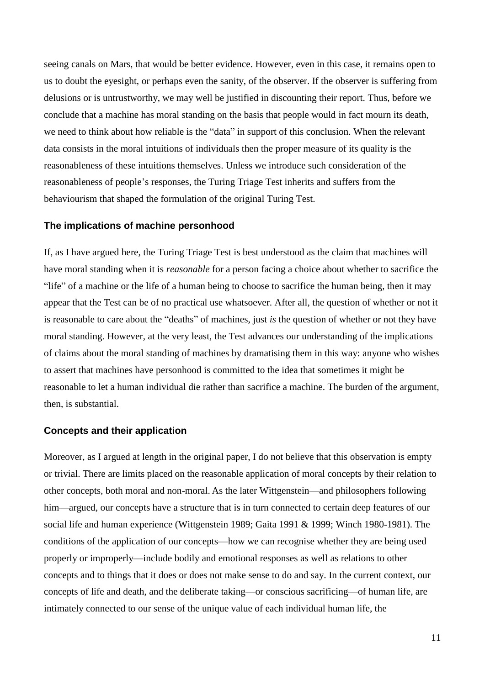seeing canals on Mars, that would be better evidence. However, even in this case, it remains open to us to doubt the eyesight, or perhaps even the sanity, of the observer. If the observer is suffering from delusions or is untrustworthy, we may well be justified in discounting their report. Thus, before we conclude that a machine has moral standing on the basis that people would in fact mourn its death, we need to think about how reliable is the "data" in support of this conclusion. When the relevant data consists in the moral intuitions of individuals then the proper measure of its quality is the reasonableness of these intuitions themselves. Unless we introduce such consideration of the reasonableness of people's responses, the Turing Triage Test inherits and suffers from the behaviourism that shaped the formulation of the original Turing Test.

#### **The implications of machine personhood**

If, as I have argued here, the Turing Triage Test is best understood as the claim that machines will have moral standing when it is *reasonable* for a person facing a choice about whether to sacrifice the "life" of a machine or the life of a human being to choose to sacrifice the human being, then it may appear that the Test can be of no practical use whatsoever. After all, the question of whether or not it is reasonable to care about the "deaths" of machines, just *is* the question of whether or not they have moral standing. However, at the very least, the Test advances our understanding of the implications of claims about the moral standing of machines by dramatising them in this way: anyone who wishes to assert that machines have personhood is committed to the idea that sometimes it might be reasonable to let a human individual die rather than sacrifice a machine. The burden of the argument, then, is substantial.

#### **Concepts and their application**

Moreover, as I argued at length in the original paper, I do not believe that this observation is empty or trivial. There are limits placed on the reasonable application of moral concepts by their relation to other concepts, both moral and non-moral. As the later Wittgenstein—and philosophers following him—argued, our concepts have a structure that is in turn connected to certain deep features of our social life and human experience (Wittgenstein 1989; Gaita 1991 & 1999; Winch 1980-1981). The conditions of the application of our concepts—how we can recognise whether they are being used properly or improperly—include bodily and emotional responses as well as relations to other concepts and to things that it does or does not make sense to do and say. In the current context, our concepts of life and death, and the deliberate taking—or conscious sacrificing—of human life, are intimately connected to our sense of the unique value of each individual human life, the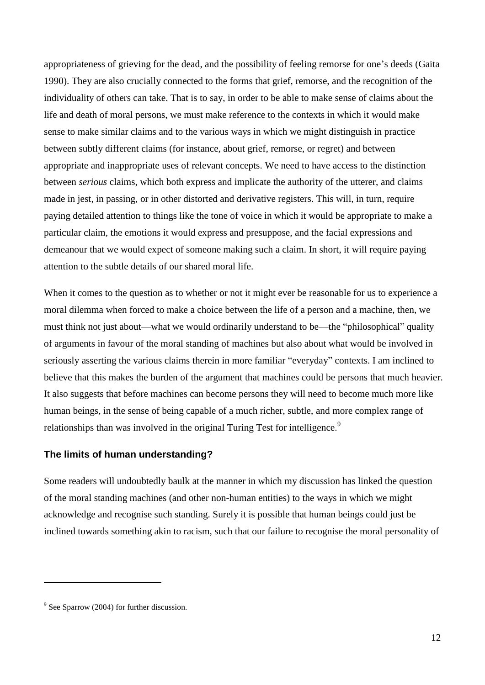appropriateness of grieving for the dead, and the possibility of feeling remorse for one's deeds (Gaita 1990). They are also crucially connected to the forms that grief, remorse, and the recognition of the individuality of others can take. That is to say, in order to be able to make sense of claims about the life and death of moral persons, we must make reference to the contexts in which it would make sense to make similar claims and to the various ways in which we might distinguish in practice between subtly different claims (for instance, about grief, remorse, or regret) and between appropriate and inappropriate uses of relevant concepts. We need to have access to the distinction between *serious* claims, which both express and implicate the authority of the utterer, and claims made in jest, in passing, or in other distorted and derivative registers. This will, in turn, require paying detailed attention to things like the tone of voice in which it would be appropriate to make a particular claim, the emotions it would express and presuppose, and the facial expressions and demeanour that we would expect of someone making such a claim. In short, it will require paying attention to the subtle details of our shared moral life.

When it comes to the question as to whether or not it might ever be reasonable for us to experience a moral dilemma when forced to make a choice between the life of a person and a machine, then, we must think not just about—what we would ordinarily understand to be—the "philosophical" quality of arguments in favour of the moral standing of machines but also about what would be involved in seriously asserting the various claims therein in more familiar "everyday" contexts. I am inclined to believe that this makes the burden of the argument that machines could be persons that much heavier. It also suggests that before machines can become persons they will need to become much more like human beings, in the sense of being capable of a much richer, subtle, and more complex range of relationships than was involved in the original Turing Test for intelligence.<sup>9</sup>

#### **The limits of human understanding?**

Some readers will undoubtedly baulk at the manner in which my discussion has linked the question of the moral standing machines (and other non-human entities) to the ways in which we might acknowledge and recognise such standing. Surely it is possible that human beings could just be inclined towards something akin to racism, such that our failure to recognise the moral personality of

1

<sup>&</sup>lt;sup>9</sup> See Sparrow (2004) for further discussion.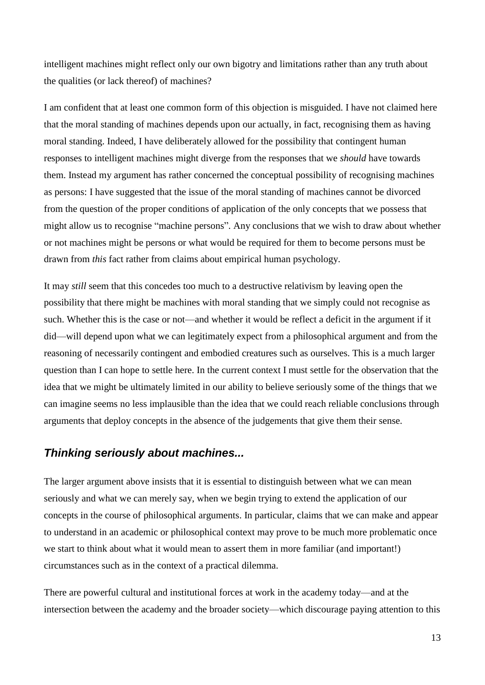intelligent machines might reflect only our own bigotry and limitations rather than any truth about the qualities (or lack thereof) of machines?

I am confident that at least one common form of this objection is misguided. I have not claimed here that the moral standing of machines depends upon our actually, in fact, recognising them as having moral standing. Indeed, I have deliberately allowed for the possibility that contingent human responses to intelligent machines might diverge from the responses that we *should* have towards them. Instead my argument has rather concerned the conceptual possibility of recognising machines as persons: I have suggested that the issue of the moral standing of machines cannot be divorced from the question of the proper conditions of application of the only concepts that we possess that might allow us to recognise "machine persons". Any conclusions that we wish to draw about whether or not machines might be persons or what would be required for them to become persons must be drawn from *this* fact rather from claims about empirical human psychology.

It may *still* seem that this concedes too much to a destructive relativism by leaving open the possibility that there might be machines with moral standing that we simply could not recognise as such. Whether this is the case or not—and whether it would be reflect a deficit in the argument if it did—will depend upon what we can legitimately expect from a philosophical argument and from the reasoning of necessarily contingent and embodied creatures such as ourselves. This is a much larger question than I can hope to settle here. In the current context I must settle for the observation that the idea that we might be ultimately limited in our ability to believe seriously some of the things that we can imagine seems no less implausible than the idea that we could reach reliable conclusions through arguments that deploy concepts in the absence of the judgements that give them their sense.

### *Thinking seriously about machines...*

The larger argument above insists that it is essential to distinguish between what we can mean seriously and what we can merely say, when we begin trying to extend the application of our concepts in the course of philosophical arguments. In particular, claims that we can make and appear to understand in an academic or philosophical context may prove to be much more problematic once we start to think about what it would mean to assert them in more familiar (and important!) circumstances such as in the context of a practical dilemma.

There are powerful cultural and institutional forces at work in the academy today—and at the intersection between the academy and the broader society—which discourage paying attention to this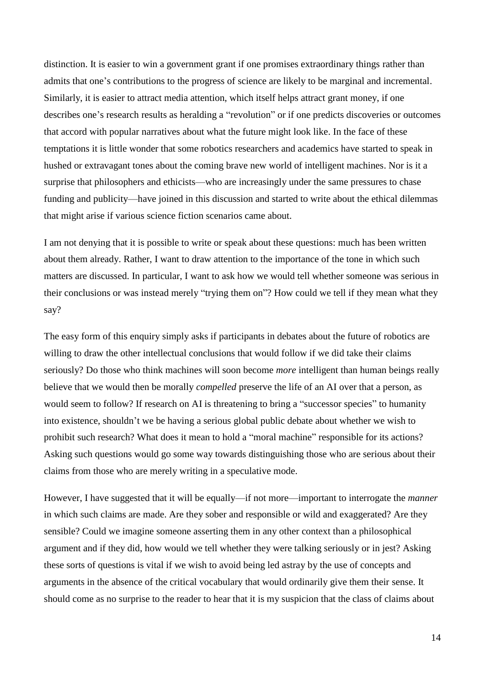distinction. It is easier to win a government grant if one promises extraordinary things rather than admits that one's contributions to the progress of science are likely to be marginal and incremental. Similarly, it is easier to attract media attention, which itself helps attract grant money, if one describes one's research results as heralding a "revolution" or if one predicts discoveries or outcomes that accord with popular narratives about what the future might look like. In the face of these temptations it is little wonder that some robotics researchers and academics have started to speak in hushed or extravagant tones about the coming brave new world of intelligent machines. Nor is it a surprise that philosophers and ethicists—who are increasingly under the same pressures to chase funding and publicity—have joined in this discussion and started to write about the ethical dilemmas that might arise if various science fiction scenarios came about.

I am not denying that it is possible to write or speak about these questions: much has been written about them already. Rather, I want to draw attention to the importance of the tone in which such matters are discussed. In particular, I want to ask how we would tell whether someone was serious in their conclusions or was instead merely "trying them on"? How could we tell if they mean what they say?

The easy form of this enquiry simply asks if participants in debates about the future of robotics are willing to draw the other intellectual conclusions that would follow if we did take their claims seriously? Do those who think machines will soon become *more* intelligent than human beings really believe that we would then be morally *compelled* preserve the life of an AI over that a person, as would seem to follow? If research on AI is threatening to bring a "successor species" to humanity into existence, shouldn't we be having a serious global public debate about whether we wish to prohibit such research? What does it mean to hold a "moral machine" responsible for its actions? Asking such questions would go some way towards distinguishing those who are serious about their claims from those who are merely writing in a speculative mode.

However, I have suggested that it will be equally—if not more—important to interrogate the *manner* in which such claims are made. Are they sober and responsible or wild and exaggerated? Are they sensible? Could we imagine someone asserting them in any other context than a philosophical argument and if they did, how would we tell whether they were talking seriously or in jest? Asking these sorts of questions is vital if we wish to avoid being led astray by the use of concepts and arguments in the absence of the critical vocabulary that would ordinarily give them their sense. It should come as no surprise to the reader to hear that it is my suspicion that the class of claims about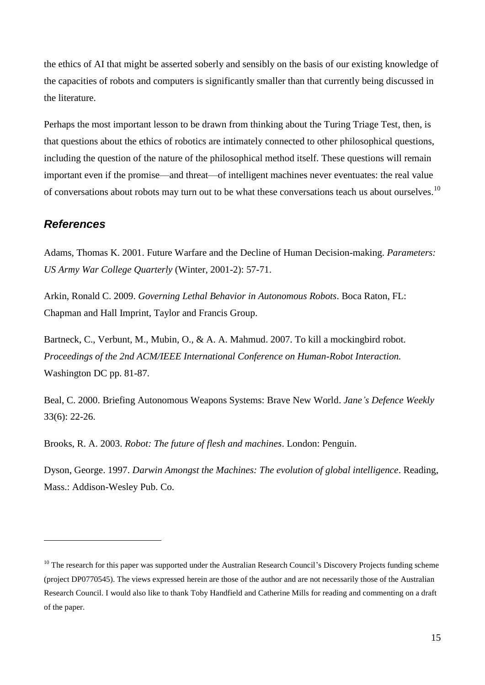the ethics of AI that might be asserted soberly and sensibly on the basis of our existing knowledge of the capacities of robots and computers is significantly smaller than that currently being discussed in the literature.

Perhaps the most important lesson to be drawn from thinking about the Turing Triage Test, then, is that questions about the ethics of robotics are intimately connected to other philosophical questions, including the question of the nature of the philosophical method itself. These questions will remain important even if the promise—and threat—of intelligent machines never eventuates: the real value of conversations about robots may turn out to be what these conversations teach us about ourselves.<sup>10</sup>

### *References*

<u>.</u>

Adams, Thomas K. 2001. Future Warfare and the Decline of Human Decision-making. *Parameters: US Army War College Quarterly* (Winter, 2001-2): 57-71.

Arkin, Ronald C. 2009. *Governing Lethal Behavior in Autonomous Robots*. Boca Raton, FL: Chapman and Hall Imprint, Taylor and Francis Group.

Bartneck, C., Verbunt, M., Mubin, O., & A. A. Mahmud. 2007. To kill a mockingbird robot. *Proceedings of the 2nd ACM/IEEE International Conference on Human-Robot Interaction.* Washington DC pp. 81-87.

Beal, C. 2000. Briefing Autonomous Weapons Systems: Brave New World. *Jane's Defence Weekly* 33(6): 22-26.

Brooks, R. A. 2003. *Robot: The future of flesh and machines*. London: Penguin.

Dyson, George. 1997. *Darwin Amongst the Machines: The evolution of global intelligence*. Reading, Mass.: Addison-Wesley Pub. Co.

 $10$  The research for this paper was supported under the Australian Research Council's Discovery Projects funding scheme (project DP0770545). The views expressed herein are those of the author and are not necessarily those of the Australian Research Council. I would also like to thank Toby Handfield and Catherine Mills for reading and commenting on a draft of the paper.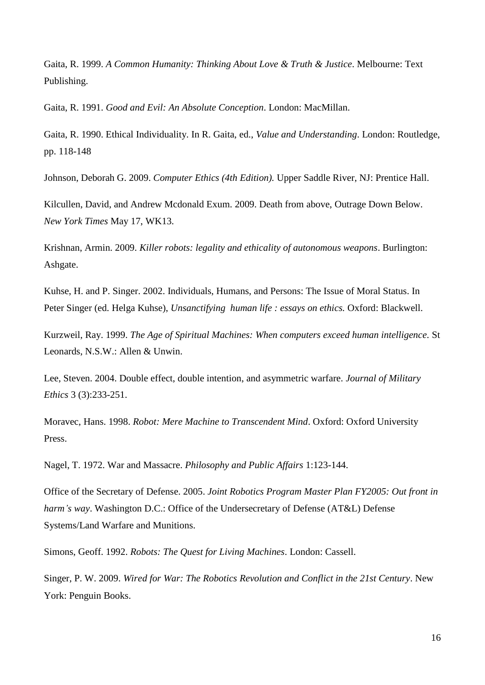Gaita, R. 1999. *A Common Humanity: Thinking About Love & Truth & Justice*. Melbourne: Text Publishing.

Gaita, R. 1991. *Good and Evil: An Absolute Conception*. London: MacMillan.

Gaita, R. 1990. Ethical Individuality. In R. Gaita, ed., *Value and Understanding*. London: Routledge, pp. 118-148

Johnson, Deborah G. 2009. *Computer Ethics (4th Edition).* Upper Saddle River, NJ: Prentice Hall.

Kilcullen, David, and Andrew Mcdonald Exum. 2009. Death from above, Outrage Down Below. *New York Times* May 17, WK13.

Krishnan, Armin. 2009. *Killer robots: legality and ethicality of autonomous weapons*. Burlington: Ashgate.

Kuhse, H. and P. Singer. 2002. Individuals, Humans, and Persons: The Issue of Moral Status. In Peter Singer (ed. Helga Kuhse), *Unsanctifying human life : essays on ethics.* Oxford: Blackwell.

Kurzweil, Ray. 1999. *The Age of Spiritual Machines: When computers exceed human intelligence.* St Leonards, N.S.W.: Allen & Unwin.

Lee, Steven. 2004. Double effect, double intention, and asymmetric warfare. *Journal of Military Ethics* 3 (3):233-251.

Moravec, Hans. 1998. *Robot: Mere Machine to Transcendent Mind*. Oxford: Oxford University Press.

Nagel, T. 1972. War and Massacre. *Philosophy and Public Affairs* 1:123-144.

Office of the Secretary of Defense. 2005. *Joint Robotics Program Master Plan FY2005: Out front in harm's way*. Washington D.C.: Office of the Undersecretary of Defense (AT&L) Defense Systems/Land Warfare and Munitions.

Simons, Geoff. 1992. *Robots: The Quest for Living Machines*. London: Cassell.

Singer, P. W. 2009. *Wired for War: The Robotics Revolution and Conflict in the 21st Century*. New York: Penguin Books.